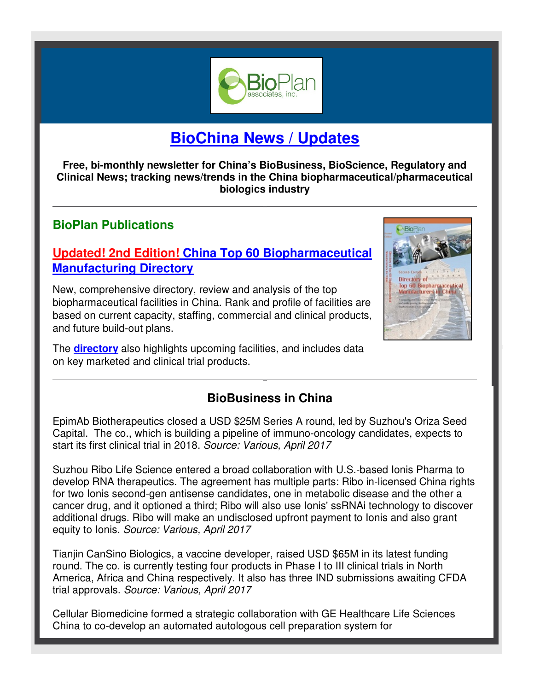

# **BioChina News / Updates**

**Free, bi-monthly newsletter for China's BioBusiness, BioScience, Regulatory and Clinical News; tracking news/trends in the China biopharmaceutical/pharmaceutical biologics industry** 

#### **BioPlan Publications**

# **[Updated! 2nd Edition! China Top 60 Biopharmaceutical](http://bioplanassociates.com/china-top-60/)  Manufacturing Directory**

New, comprehensive directory, review and analysis of the top biopharmaceutical facilities in China. Rank and profile of facilities are based on current capacity, staffing, commercial and clinical products, and future build-out plans.

The **[directory](http://bioplanassociates.com/china-top-60/)** also highlights upcoming facilities, and includes data on key marketed and clinical trial products.



# **BioBusiness in China**

EpimAb Biotherapeutics closed a USD \$25M Series A round, led by Suzhou's Oriza Seed Capital. The co., which is building a pipeline of immuno-oncology candidates, expects to start its first clinical trial in 2018. Source: Various, April 2017

Suzhou Ribo Life Science entered a broad collaboration with U.S.-based Ionis Pharma to develop RNA therapeutics. The agreement has multiple parts: Ribo in-licensed China rights for two Ionis second-gen antisense candidates, one in metabolic disease and the other a cancer drug, and it optioned a third; Ribo will also use Ionis' ssRNAi technology to discover additional drugs. Ribo will make an undisclosed upfront payment to Ionis and also grant equity to Ionis. Source: Various, April 2017

Tianjin CanSino Biologics, a vaccine developer, raised USD \$65M in its latest funding round. The co. is currently testing four products in Phase I to III clinical trials in North America, Africa and China respectively. It also has three IND submissions awaiting CFDA trial approvals. Source: Various, April 2017

Cellular Biomedicine formed a strategic collaboration with GE Healthcare Life Sciences China to co-develop an automated autologous cell preparation system for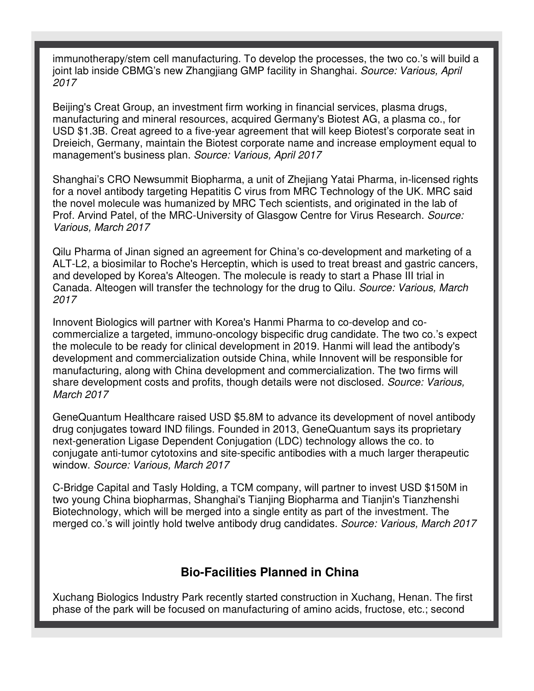immunotherapy/stem cell manufacturing. To develop the processes, the two co.'s will build a joint lab inside CBMG's new Zhangjiang GMP facility in Shanghai. Source: Various, April 2017

Beijing's Creat Group, an investment firm working in financial services, plasma drugs, manufacturing and mineral resources, acquired Germany's Biotest AG, a plasma co., for USD \$1.3B. Creat agreed to a five-year agreement that will keep Biotest's corporate seat in Dreieich, Germany, maintain the Biotest corporate name and increase employment equal to management's business plan. Source: Various, April 2017

Shanghai's CRO Newsummit Biopharma, a unit of Zhejiang Yatai Pharma, in-licensed rights for a novel antibody targeting Hepatitis C virus from MRC Technology of the UK. MRC said the novel molecule was humanized by MRC Tech scientists, and originated in the lab of Prof. Arvind Patel, of the MRC-University of Glasgow Centre for Virus Research. Source: Various, March 2017

Qilu Pharma of Jinan signed an agreement for China's co-development and marketing of a ALT-L2, a biosimilar to Roche's Herceptin, which is used to treat breast and gastric cancers, and developed by Korea's Alteogen. The molecule is ready to start a Phase III trial in Canada. Alteogen will transfer the technology for the drug to Qilu. Source: Various, March 2017

Innovent Biologics will partner with Korea's Hanmi Pharma to co-develop and cocommercialize a targeted, immuno-oncology bispecific drug candidate. The two co.'s expect the molecule to be ready for clinical development in 2019. Hanmi will lead the antibody's development and commercialization outside China, while Innovent will be responsible for manufacturing, along with China development and commercialization. The two firms will share development costs and profits, though details were not disclosed. Source: Various, March 2017

GeneQuantum Healthcare raised USD \$5.8M to advance its development of novel antibody drug conjugates toward IND filings. Founded in 2013, GeneQuantum says its proprietary next-generation Ligase Dependent Conjugation (LDC) technology allows the co. to conjugate anti-tumor cytotoxins and site-specific antibodies with a much larger therapeutic window. Source: Various, March 2017

C-Bridge Capital and Tasly Holding, a TCM company, will partner to invest USD \$150M in two young China biopharmas, Shanghai's Tianjing Biopharma and Tianjin's Tianzhenshi Biotechnology, which will be merged into a single entity as part of the investment. The merged co.'s will jointly hold twelve antibody drug candidates. Source: Various, March 2017

# **Bio-Facilities Planned in China**

Xuchang Biologics Industry Park recently started construction in Xuchang, Henan. The first phase of the park will be focused on manufacturing of amino acids, fructose, etc.; second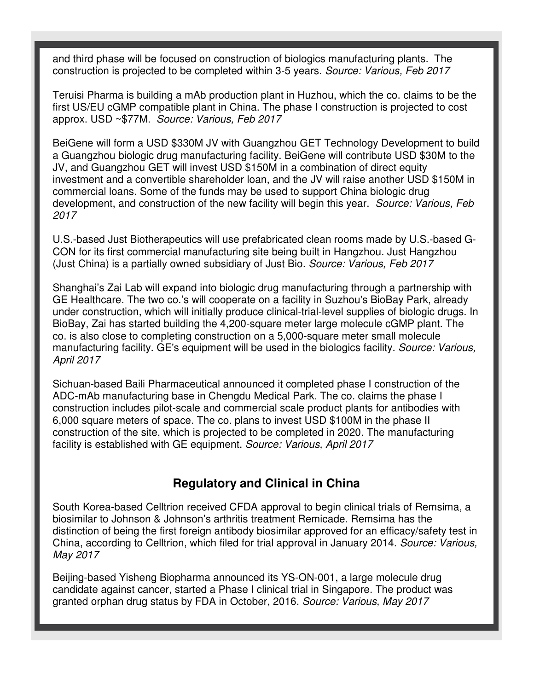and third phase will be focused on construction of biologics manufacturing plants. The construction is projected to be completed within 3-5 years. Source: Various, Feb 2017

Teruisi Pharma is building a mAb production plant in Huzhou, which the co. claims to be the first US/EU cGMP compatible plant in China. The phase I construction is projected to cost approx. USD ~\$77M. Source: Various, Feb 2017

BeiGene will form a USD \$330M JV with Guangzhou GET Technology Development to build a Guangzhou biologic drug manufacturing facility. BeiGene will contribute USD \$30M to the JV, and Guangzhou GET will invest USD \$150M in a combination of direct equity investment and a convertible shareholder loan, and the JV will raise another USD \$150M in commercial loans. Some of the funds may be used to support China biologic drug development, and construction of the new facility will begin this year. Source: Various, Feb 2017

U.S.-based Just Biotherapeutics will use prefabricated clean rooms made by U.S.-based G-CON for its first commercial manufacturing site being built in Hangzhou. Just Hangzhou (Just China) is a partially owned subsidiary of Just Bio. Source: Various, Feb 2017

Shanghai's Zai Lab will expand into biologic drug manufacturing through a partnership with GE Healthcare. The two co.'s will cooperate on a facility in Suzhou's BioBay Park, already under construction, which will initially produce clinical-trial-level supplies of biologic drugs. In BioBay, Zai has started building the 4,200-square meter large molecule cGMP plant. The co. is also close to completing construction on a 5,000-square meter small molecule manufacturing facility. GE's equipment will be used in the biologics facility. Source: Various, April 2017

Sichuan-based Baili Pharmaceutical announced it completed phase I construction of the ADC-mAb manufacturing base in Chengdu Medical Park. The co. claims the phase I construction includes pilot-scale and commercial scale product plants for antibodies with 6,000 square meters of space. The co. plans to invest USD \$100M in the phase II construction of the site, which is projected to be completed in 2020. The manufacturing facility is established with GE equipment. Source: Various, April 2017

#### **Regulatory and Clinical in China**

South Korea-based Celltrion received CFDA approval to begin clinical trials of Remsima, a biosimilar to Johnson & Johnson's arthritis treatment Remicade. Remsima has the distinction of being the first foreign antibody biosimilar approved for an efficacy/safety test in China, according to Celltrion, which filed for trial approval in January 2014. Source: Various, May 2017

Beijing-based Yisheng Biopharma announced its YS-ON-001, a large molecule drug candidate against cancer, started a Phase I clinical trial in Singapore. The product was granted orphan drug status by FDA in October, 2016. Source: Various, May 2017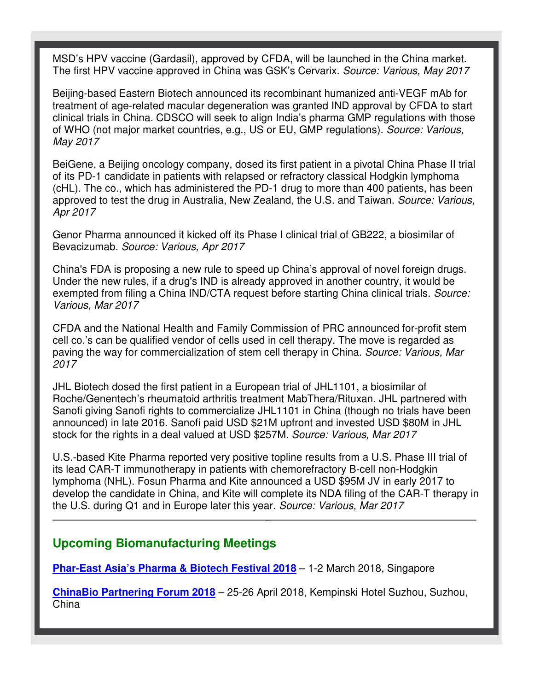MSD's HPV vaccine (Gardasil), approved by CFDA, will be launched in the China market. The first HPV vaccine approved in China was GSK's Cervarix. Source: Various, May 2017

Beijing-based Eastern Biotech announced its recombinant humanized anti-VEGF mAb for treatment of age-related macular degeneration was granted IND approval by CFDA to start clinical trials in China. CDSCO will seek to align India's pharma GMP regulations with those of WHO (not major market countries, e.g., US or EU, GMP regulations). Source: Various, May 2017

BeiGene, a Beijing oncology company, dosed its first patient in a pivotal China Phase II trial of its PD-1 candidate in patients with relapsed or refractory classical Hodgkin lymphoma (cHL). The co., which has administered the PD-1 drug to more than 400 patients, has been approved to test the drug in Australia, New Zealand, the U.S. and Taiwan. Source: Various, Apr 2017

Genor Pharma announced it kicked off its Phase I clinical trial of GB222, a biosimilar of Bevacizumab. Source: Various, Apr 2017

China's FDA is proposing a new rule to speed up China's approval of novel foreign drugs. Under the new rules, if a drug's IND is already approved in another country, it would be exempted from filing a China IND/CTA request before starting China clinical trials. Source: Various, Mar 2017

CFDA and the National Health and Family Commission of PRC announced for-profit stem cell co.'s can be qualified vendor of cells used in cell therapy. The move is regarded as paving the way for commercialization of stem cell therapy in China. Source: Various, Mar 2017

JHL Biotech dosed the first patient in a European trial of JHL1101, a biosimilar of Roche/Genentech's rheumatoid arthritis treatment MabThera/Rituxan. JHL partnered with Sanofi giving Sanofi rights to commercialize JHL1101 in China (though no trials have been announced) in late 2016. Sanofi paid USD \$21M upfront and invested USD \$80M in JHL stock for the rights in a deal valued at USD \$257M. Source: Various, Mar 2017

U.S.-based Kite Pharma reported very positive topline results from a U.S. Phase III trial of its lead CAR-T immunotherapy in patients with chemorefractory B-cell non-Hodgkin lymphoma (NHL). Fosun Pharma and Kite announced a USD \$95M JV in early 2017 to develop the candidate in China, and Kite will complete its NDA filing of the CAR-T therapy in the U.S. during Q1 and in Europe later this year. Source: Various, Mar 2017

#### **Upcoming Biomanufacturing Meetings**

**[Phar-East Asia's Pharma & Biotech Festival 2018](http://www.terrapinn.com/exhibition/phar-east/index.stm)** – 1-2 March 2018, Singapore

**[ChinaBio Partnering Forum 2018](https://ebdgroup.knect365.com/chinabio-partnering/)** – 25-26 April 2018, Kempinski Hotel Suzhou, Suzhou, China